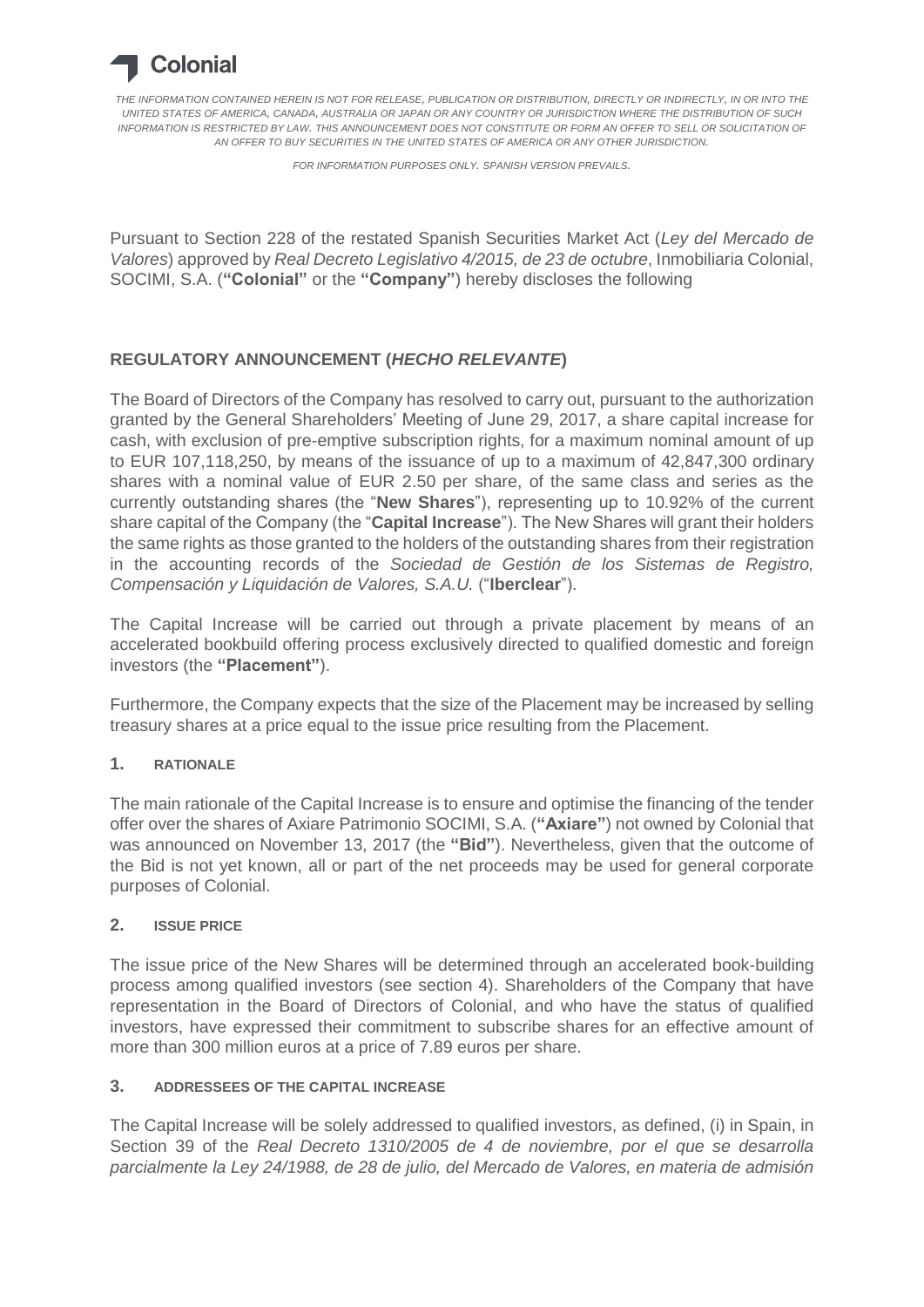

*THE INFORMATION CONTAINED HEREIN IS NOT FOR RELEASE, PUBLICATION OR DISTRIBUTION, DIRECTLY OR INDIRECTLY, IN OR INTO THE UNITED STATES OF AMERICA, CANADA, AUSTRALIA OR JAPAN OR ANY COUNTRY OR JURISDICTION WHERE THE DISTRIBUTION OF SUCH INFORMATION IS RESTRICTED BY LAW. THIS ANNOUNCEMENT DOES NOT CONSTITUTE OR FORM AN OFFER TO SELL OR SOLICITATION OF AN OFFER TO BUY SECURITIES IN THE UNITED STATES OF AMERICA OR ANY OTHER JURISDICTION.*

*FOR INFORMATION PURPOSES ONLY. SPANISH VERSION PREVAILS.*

Pursuant to Section 228 of the restated Spanish Securities Market Act (*Ley del Mercado de Valores*) approved by *Real Decreto Legislativo 4/2015, de 23 de octubre*, Inmobiliaria Colonial, SOCIMI, S.A. (**"Colonial"** or the **"Company"**) hereby discloses the following

# **REGULATORY ANNOUNCEMENT (***HECHO RELEVANTE***)**

The Board of Directors of the Company has resolved to carry out, pursuant to the authorization granted by the General Shareholders' Meeting of June 29, 2017, a share capital increase for cash, with exclusion of pre-emptive subscription rights, for a maximum nominal amount of up to EUR 107,118,250, by means of the issuance of up to a maximum of 42,847,300 ordinary shares with a nominal value of EUR 2.50 per share, of the same class and series as the currently outstanding shares (the "**New Shares**"), representing up to 10.92% of the current share capital of the Company (the "**Capital Increase**"). The New Shares will grant their holders the same rights as those granted to the holders of the outstanding shares from their registration in the accounting records of the *Sociedad de Gestión de los Sistemas de Registro, Compensación y Liquidación de Valores, S.A.U.* ("**Iberclear**").

The Capital Increase will be carried out through a private placement by means of an accelerated bookbuild offering process exclusively directed to qualified domestic and foreign investors (the **"Placement"**).

Furthermore, the Company expects that the size of the Placement may be increased by selling treasury shares at a price equal to the issue price resulting from the Placement.

## **1. RATIONALE**

The main rationale of the Capital Increase is to ensure and optimise the financing of the tender offer over the shares of Axiare Patrimonio SOCIMI, S.A. (**"Axiare"**) not owned by Colonial that was announced on November 13, 2017 (the **"Bid"**). Nevertheless, given that the outcome of the Bid is not yet known, all or part of the net proceeds may be used for general corporate purposes of Colonial.

#### **2. ISSUE PRICE**

The issue price of the New Shares will be determined through an accelerated book-building process among qualified investors (see section 4). Shareholders of the Company that have representation in the Board of Directors of Colonial, and who have the status of qualified investors, have expressed their commitment to subscribe shares for an effective amount of more than 300 million euros at a price of 7.89 euros per share.

#### **3. ADDRESSEES OF THE CAPITAL INCREASE**

The Capital Increase will be solely addressed to qualified investors, as defined, (i) in Spain, in Section 39 of the *Real Decreto 1310/2005 de 4 de noviembre, por el que se desarrolla parcialmente la Ley 24/1988, de 28 de julio, del Mercado de Valores, en materia de admisión*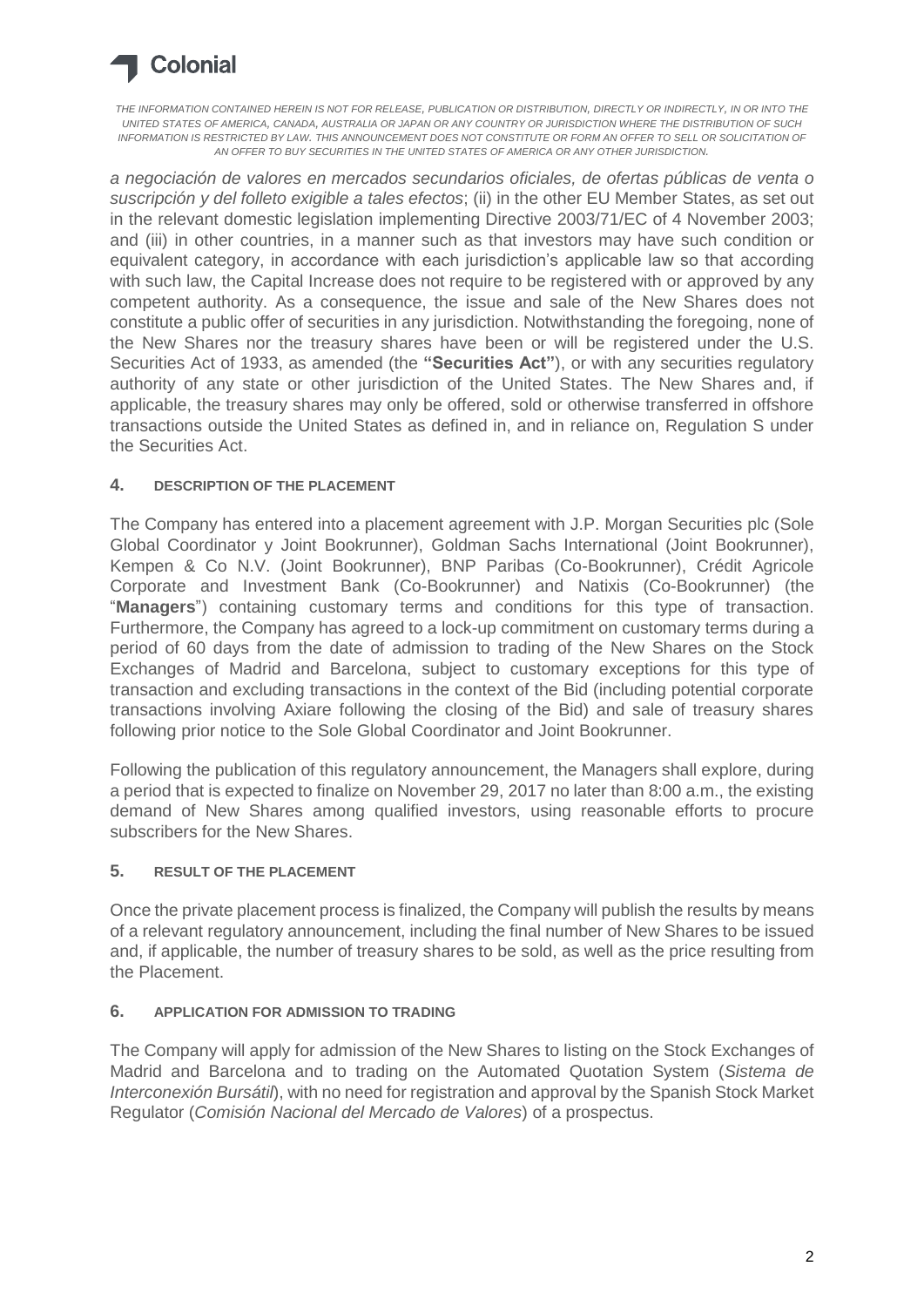

*THE INFORMATION CONTAINED HEREIN IS NOT FOR RELEASE, PUBLICATION OR DISTRIBUTION, DIRECTLY OR INDIRECTLY, IN OR INTO THE UNITED STATES OF AMERICA, CANADA, AUSTRALIA OR JAPAN OR ANY COUNTRY OR JURISDICTION WHERE THE DISTRIBUTION OF SUCH INFORMATION IS RESTRICTED BY LAW. THIS ANNOUNCEMENT DOES NOT CONSTITUTE OR FORM AN OFFER TO SELL OR SOLICITATION OF AN OFFER TO BUY SECURITIES IN THE UNITED STATES OF AMERICA OR ANY OTHER JURISDICTION.*

*a negociación de valores en mercados secundarios oficiales, de ofertas públicas de venta o suscripción y del folleto exigible a tales efectos*; (ii) in the other EU Member States, as set out in the relevant domestic legislation implementing Directive 2003/71/EC of 4 November 2003; and (iii) in other countries, in a manner such as that investors may have such condition or equivalent category, in accordance with each jurisdiction's applicable law so that according with such law, the Capital Increase does not require to be registered with or approved by any competent authority. As a consequence, the issue and sale of the New Shares does not constitute a public offer of securities in any jurisdiction. Notwithstanding the foregoing, none of the New Shares nor the treasury shares have been or will be registered under the U.S. Securities Act of 1933, as amended (the **"Securities Act"**), or with any securities regulatory authority of any state or other jurisdiction of the United States. The New Shares and, if applicable, the treasury shares may only be offered, sold or otherwise transferred in offshore transactions outside the United States as defined in, and in reliance on, Regulation S under the Securities Act.

## **4. DESCRIPTION OF THE PLACEMENT**

The Company has entered into a placement agreement with J.P. Morgan Securities plc (Sole Global Coordinator y Joint Bookrunner), Goldman Sachs International (Joint Bookrunner), Kempen & Co N.V. (Joint Bookrunner), BNP Paribas (Co-Bookrunner), Crédit Agricole Corporate and Investment Bank (Co-Bookrunner) and Natixis (Co-Bookrunner) (the "**Managers**") containing customary terms and conditions for this type of transaction. Furthermore, the Company has agreed to a lock-up commitment on customary terms during a period of 60 days from the date of admission to trading of the New Shares on the Stock Exchanges of Madrid and Barcelona, subject to customary exceptions for this type of transaction and excluding transactions in the context of the Bid (including potential corporate transactions involving Axiare following the closing of the Bid) and sale of treasury shares following prior notice to the Sole Global Coordinator and Joint Bookrunner.

Following the publication of this regulatory announcement, the Managers shall explore, during a period that is expected to finalize on November 29, 2017 no later than 8:00 a.m., the existing demand of New Shares among qualified investors, using reasonable efforts to procure subscribers for the New Shares.

#### **5. RESULT OF THE PLACEMENT**

Once the private placement process is finalized, the Company will publish the results by means of a relevant regulatory announcement, including the final number of New Shares to be issued and, if applicable, the number of treasury shares to be sold, as well as the price resulting from the Placement.

## **6. APPLICATION FOR ADMISSION TO TRADING**

The Company will apply for admission of the New Shares to listing on the Stock Exchanges of Madrid and Barcelona and to trading on the Automated Quotation System (*Sistema de Interconexión Bursátil*), with no need for registration and approval by the Spanish Stock Market Regulator (*Comisión Nacional del Mercado de Valores*) of a prospectus.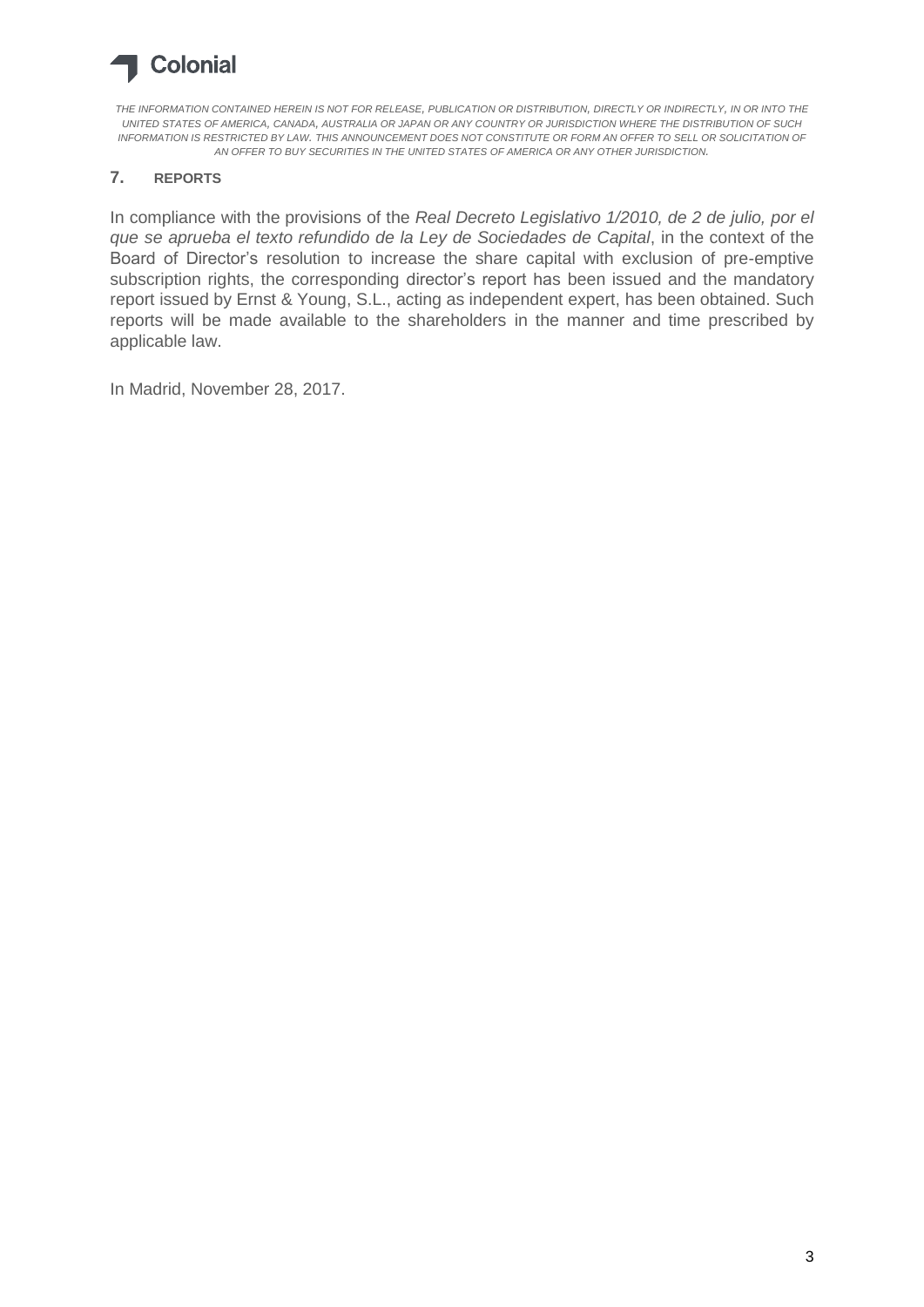# **Colonial**

*THE INFORMATION CONTAINED HEREIN IS NOT FOR RELEASE, PUBLICATION OR DISTRIBUTION, DIRECTLY OR INDIRECTLY, IN OR INTO THE UNITED STATES OF AMERICA, CANADA, AUSTRALIA OR JAPAN OR ANY COUNTRY OR JURISDICTION WHERE THE DISTRIBUTION OF SUCH INFORMATION IS RESTRICTED BY LAW. THIS ANNOUNCEMENT DOES NOT CONSTITUTE OR FORM AN OFFER TO SELL OR SOLICITATION OF AN OFFER TO BUY SECURITIES IN THE UNITED STATES OF AMERICA OR ANY OTHER JURISDICTION.*

# **7. REPORTS**

In compliance with the provisions of the *Real Decreto Legislativo 1/2010, de 2 de julio, por el que se aprueba el texto refundido de la Ley de Sociedades de Capital*, in the context of the Board of Director's resolution to increase the share capital with exclusion of pre-emptive subscription rights, the corresponding director's report has been issued and the mandatory report issued by Ernst & Young, S.L., acting as independent expert, has been obtained. Such reports will be made available to the shareholders in the manner and time prescribed by applicable law.

In Madrid, November 28, 2017.